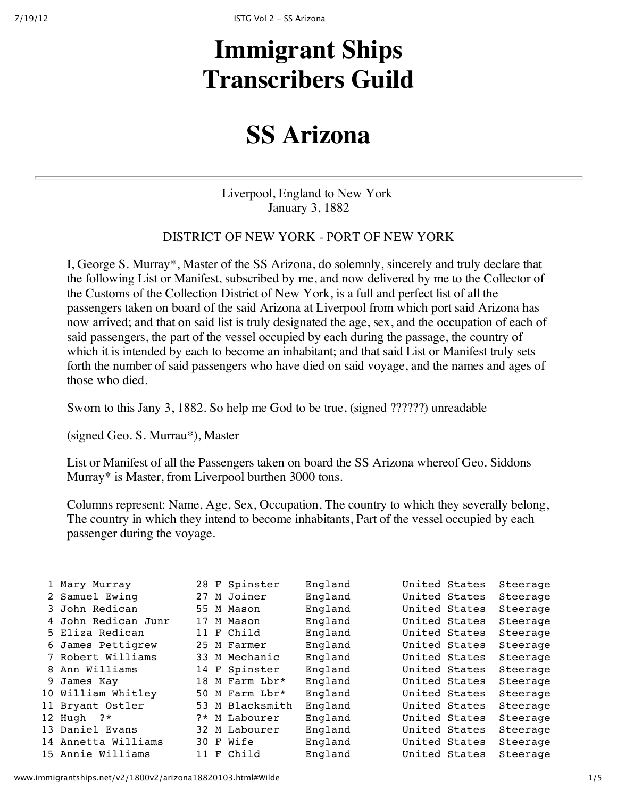# **Immigrant Ships Transcribers Guild**

## **SS Arizona**

Liverpool, England to New York January 3, 1882

#### DISTRICT OF NEW YORK - PORT OF NEW YORK

I, George S. Murray\*, Master of the SS Arizona, do solemnly, sincerely and truly declare that the following List or Manifest, subscribed by me, and now delivered by me to the Collector of the Customs of the Collection District of New York, is a full and perfect list of all the passengers taken on board of the said Arizona at Liverpool from which port said Arizona has now arrived; and that on said list is truly designated the age, sex, and the occupation of each of said passengers, the part of the vessel occupied by each during the passage, the country of which it is intended by each to become an inhabitant; and that said List or Manifest truly sets forth the number of said passengers who have died on said voyage, and the names and ages of those who died.

Sworn to this Jany 3, 1882. So help me God to be true, (signed ??????) unreadable

(signed Geo. S. Murrau\*), Master

List or Manifest of all the Passengers taken on board the SS Arizona whereof Geo. Siddons Murray\* is Master, from Liverpool burthen 3000 tons.

Columns represent: Name, Age, Sex, Occupation, The country to which they severally belong, The country in which they intend to become inhabitants, Part of the vessel occupied by each passenger during the voyage.

| 1 Mary Murray       |      | 28 F Spinster   | England | United States | Steerage |
|---------------------|------|-----------------|---------|---------------|----------|
| 2 Samuel Ewing      | 27   | M Joiner        | England | United States | Steerage |
| 3 John Redican      | 55   | M Mason         | England | United States | Steerage |
| 4 John Redican Junr | 17   | M Mason         | England | United States | Steerage |
| 5 Eliza Redican     | 11   | F Child         | England | United States | Steerage |
| 6 James Pettigrew   |      | 25 M Farmer     | England | United States | Steerage |
| 7 Robert Williams   |      | 33 M Mechanic   | England | United States | Steerage |
| 8 Ann Williams      | 14   | F Spinster      | England | United States | Steerage |
| 9 James Kay         | 18   | M Farm Lbr*     | England | United States | Steerage |
| 10 William Whitley  |      | 50 M Farm Lbr*  | England | United States | Steerage |
| 11 Bryant Ostler    |      | 53 M Blacksmith | England | United States | Steerage |
| 12 Hugh $?*$        | $2*$ | M Labourer      | England | United States | Steerage |
| 13 Daniel Evans     | 32   | M Labourer      | England | United States | Steerage |
| 14 Annetta Williams |      | 30 F Wife       | England | United States | Steerage |
| 15 Annie Williams   |      | 11 F Child      | England | United States | Steerage |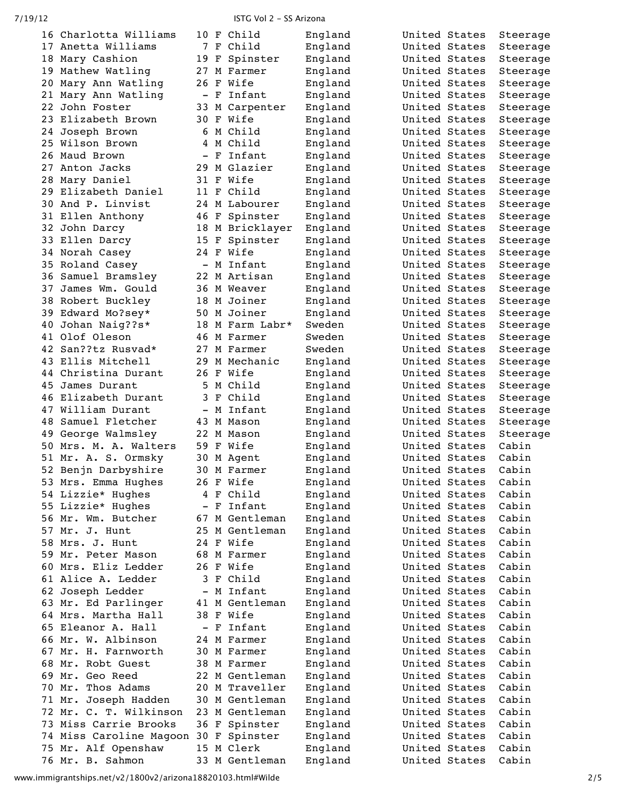7/19/12 ISTG Vol 2 ‑ SS Arizona

|     | 16 Charlotta Williams                 |                          |   | 10 F Child     | England | United States | Steerage |
|-----|---------------------------------------|--------------------------|---|----------------|---------|---------------|----------|
|     | 17 Anetta Williams                    | 7                        | F | Child          | England | United States | Steerage |
|     | 18 Mary Cashion                       | 19                       | F | Spinster       | England | United States | Steerage |
|     | 19 Mathew Watling                     | 27                       |   | M Farmer       | England | United States | Steerage |
|     | 20 Mary Ann Watling                   | 26                       | F | Wife           | England | United States | Steerage |
|     | 21 Mary Ann Watling                   | $\qquad \qquad -$        | F | Infant         | England | United States | Steerage |
| 22. | John Foster                           | 33                       |   | M Carpenter    | England | United States | Steerage |
|     | 23 Elizabeth Brown                    | 30                       | F | Wife           | England | United States | Steerage |
|     | 24 Joseph Brown                       | 6                        |   | M Child        | England | United States | Steerage |
|     | 25 Wilson Brown                       | 4                        |   | M Child        | England | United States | Steerage |
|     | 26 Maud Brown                         |                          |   | - F Infant     | England | United States | Steerage |
|     | 27 Anton Jacks                        | 29                       |   | M Glazier      | England | United States | Steerage |
|     | 28 Mary Daniel                        |                          |   | 31 F Wife      | England | United States | Steerage |
|     | 29 Elizabeth Daniel                   | 11 F                     |   | Child          | England | United States | Steerage |
|     | 30 And P. Linvist                     | 24                       |   | M Labourer     | England | United States | Steerage |
|     | 31 Ellen Anthony                      | 46                       | F | Spinster       | England | United States | Steerage |
|     | 32 John Darcy                         | 18                       |   | M Bricklayer   | England | United States | Steerage |
|     | 33 Ellen Darcy                        | 15                       | F | Spinster       | England | United States | Steerage |
|     | 34 Norah Casey                        | 24 F                     |   | Wife           | England | United States | Steerage |
|     | 35 Roland Casey                       | $\overline{\phantom{0}}$ |   | M Infant       | England | United States | Steerage |
|     | 36 Samuel Bramsley                    | 22                       |   | M Artisan      | England | United States | Steerage |
| 37  | James Wm. Gould                       |                          |   | 36 M Weaver    | England | United States | Steerage |
|     | 38 Robert Buckley                     |                          |   | 18 M Joiner    | England | United States | Steerage |
|     | 39 Edward Mo?sey*                     | 50                       |   | M Joiner       | England | United States | Steerage |
|     | 40 Johan Naig??s*                     | 18                       |   | M Farm Labr*   | Sweden  | United States | Steerage |
|     | 41 Olof Oleson                        | 46                       |   | M Farmer       | Sweden  | United States | Steerage |
|     | 42 San??tz Rusvad*                    | 27                       |   | M Farmer       | Sweden  | United States | Steerage |
|     | 43 Ellis Mitchell                     | 29                       |   | M Mechanic     | England | United States | Steerage |
|     | 44 Christina Durant                   | 26                       |   | F Wife         | England | United States | Steerage |
|     | 45 James Durant                       | 5                        |   | M Child        | England | United States | Steerage |
|     | 46 Elizabeth Durant                   | 3                        |   | F Child        | England | United States | Steerage |
|     | 47 William Durant                     | $\qquad \qquad -$        |   | M Infant       | England | United States | Steerage |
|     | 48 Samuel Fletcher                    | 43                       |   | M Mason        | England | United States | Steerage |
|     | 49 George Walmsley                    | 22                       |   | M Mason        | England | United States | Steerage |
|     | 50 Mrs. M. A. Walters                 | 59                       | F | Wife           | England | United States | Cabin    |
|     | 51 Mr. A. S. Ormsky                   | 30                       |   | M Agent        | England | United States | Cabin    |
|     | 52 Benjn Darbyshire                   | 30                       |   | M Farmer       | England | United States | Cabin    |
|     | 53 Mrs. Emma Hughes                   |                          |   | 26 F Wife      | England | United States | Cabin    |
|     | 54 Lizzie* Hughes                     |                          |   | 4 F Child      | England | United States | Cabin    |
|     | 55 Lizzie* Hughes                     |                          |   | - F Infant     | England | United States | Cabin    |
|     | 56 Mr. Wm. Butcher                    |                          |   | 67 M Gentleman | England | United States | Cabin    |
|     | 57 Mr. J. Hunt                        |                          |   | 25 M Gentleman | England | United States | Cabin    |
|     | 58 Mrs. J. Hunt                       |                          |   | 24 F Wife      | England | United States | Cabin    |
|     | 59 Mr. Peter Mason                    |                          |   | 68 M Farmer    | England | United States | Cabin    |
|     | 60 Mrs. Eliz Ledder                   |                          |   | 26 F Wife      | England | United States | Cabin    |
|     | 61 Alice A. Ledder                    |                          |   | 3 F Child      | England | United States | Cabin    |
|     | 62 Joseph Ledder                      | $\qquad \qquad -$        |   | M Infant       | England | United States | Cabin    |
|     | 63 Mr. Ed Parlinger                   |                          |   | 41 M Gentleman | England | United States | Cabin    |
|     | 64 Mrs. Martha Hall                   |                          |   | 38 F Wife      | England | United States | Cabin    |
|     | 65 Eleanor A. Hall                    |                          |   | - F Infant     | England | United States | Cabin    |
|     | 66 Mr. W. Albinson                    |                          |   | 24 M Farmer    | England | United States | Cabin    |
|     | 67 Mr. H. Farnworth                   |                          |   | 30 M Farmer    | England | United States | Cabin    |
|     | 68 Mr. Robt Guest                     |                          |   | 38 M Farmer    | England | United States | Cabin    |
|     | 69 Mr. Geo Reed                       |                          |   | 22 M Gentleman | England | United States | Cabin    |
|     | 70 Mr. Thos Adams                     |                          |   | 20 M Traveller | England | United States | Cabin    |
|     | 71 Mr. Joseph Hadden                  |                          |   | 30 M Gentleman | England | United States | Cabin    |
|     | 72 Mr. C. T. Wilkinson                |                          |   | 23 M Gentleman | England | United States | Cabin    |
|     | 73 Miss Carrie Brooks                 |                          |   | 36 F Spinster  | England | United States | Cabin    |
|     | 74 Miss Caroline Magoon 30 F Spinster |                          |   |                | England | United States | Cabin    |
|     | 75 Mr. Alf Openshaw                   |                          |   | 15 M Clerk     | England | United States | Cabin    |
|     | 76 Mr. B. Sahmon                      |                          |   | 33 M Gentleman | England | United States | Cabin    |

www.immigrantships.net/v2/1800v2/arizona18820103.html#Wilde 2/5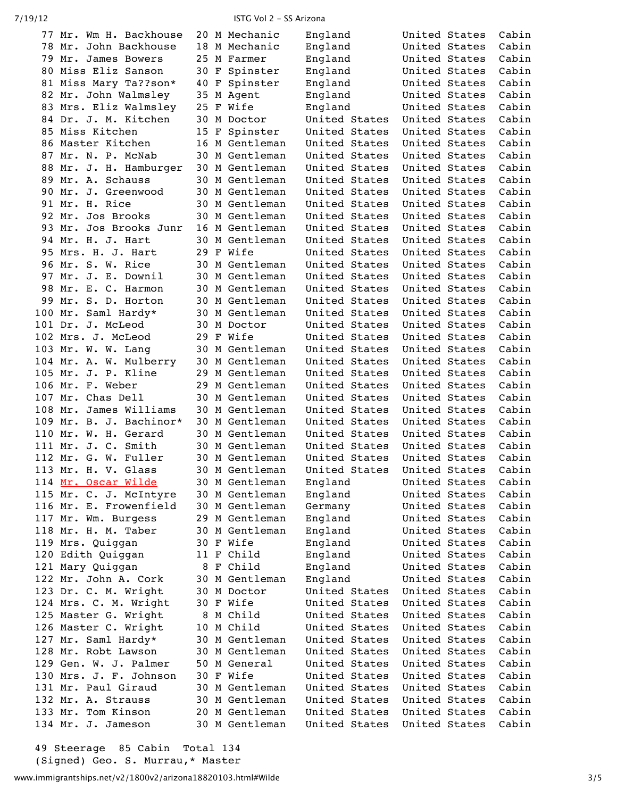| 77 Mr. Wm H. Backhouse  |    | 20 M Mechanic  | England       | United States |               | Cabin |
|-------------------------|----|----------------|---------------|---------------|---------------|-------|
| 78 Mr. John Backhouse   |    | 18 M Mechanic  | England       | United States |               | Cabin |
| 79 Mr. James Bowers     |    | 25 M Farmer    | England       | United States |               | Cabin |
| 80 Miss Eliz Sanson     |    | 30 F Spinster  | England       | United States |               | Cabin |
| 81 Miss Mary Ta??son*   | 40 | F Spinster     | England       | United States |               | Cabin |
| 82 Mr. John Walmsley    |    | 35 M Agent     | England       | United States |               | Cabin |
| 83 Mrs. Eliz Walmsley   | 25 | F Wife         | England       | United States |               | Cabin |
| 84 Dr. J. M. Kitchen    |    | 30 M Doctor    | United States | United States |               | Cabin |
| 85 Miss Kitchen         | 15 | F Spinster     | United States | United States |               | Cabin |
| 86 Master Kitchen       |    | 16 M Gentleman | United States | United States |               | Cabin |
| 87 Mr. N. P. McNab      |    | 30 M Gentleman | United States | United States |               | Cabin |
| 88 Mr. J. H. Hamburger  |    | 30 M Gentleman | United States | United States |               | Cabin |
| 89 Mr. A. Schauss       |    | 30 M Gentleman | United States | United States |               | Cabin |
| 90 Mr. J. Greenwood     |    | 30 M Gentleman | United States | United States |               | Cabin |
| 91 Mr. H. Rice          |    | 30 M Gentleman | United States | United States |               | Cabin |
| 92 Mr. Jos Brooks       |    | 30 M Gentleman | United States | United States |               | Cabin |
| 93 Mr. Jos Brooks Junr  |    | 16 M Gentleman | United States | United States |               | Cabin |
| 94 Mr. H. J. Hart       |    | 30 M Gentleman | United States | United States |               | Cabin |
| 95 Mrs. H. J. Hart      | 29 | F Wife         | United States | United States |               | Cabin |
| 96 Mr. S. W. Rice       | 30 | M Gentleman    | United States | United States |               | Cabin |
| 97 Mr. J. E. Downil     |    | 30 M Gentleman | United States | United States |               | Cabin |
| 98 Mr. E. C. Harmon     |    | 30 M Gentleman | United States | United States |               | Cabin |
| 99 Mr. S. D. Horton     |    | 30 M Gentleman | United States | United States |               | Cabin |
| 100 Mr. Saml Hardy*     |    | 30 M Gentleman | United States | United States |               | Cabin |
| 101 Dr. J. McLeod       |    | 30 M Doctor    | United States | United States |               | Cabin |
| 102 Mrs. J. McLeod      | 29 | F Wife         | United States | United States |               | Cabin |
| 103 Mr. W. W. Lang      |    | 30 M Gentleman | United States | United States |               | Cabin |
| 104 Mr. A. W. Mulberry  |    | 30 M Gentleman | United States | United States |               | Cabin |
| 105 Mr. J. P. Kline     | 29 | M Gentleman    | United States | United States |               | Cabin |
| 106 Mr. F. Weber        | 29 | M Gentleman    | United States | United States |               | Cabin |
| 107 Mr. Chas Dell       | 30 | M Gentleman    | United States | United States |               | Cabin |
| 108 Mr. James Williams  | 30 | M Gentleman    | United States | United States |               | Cabin |
| 109 Mr. B. J. Bachinor* | 30 | M Gentleman    | United States | United States |               | Cabin |
| 110 Mr. W. H. Gerard    | 30 | M Gentleman    | United States | United States |               | Cabin |
| 111 Mr. J. C. Smith     |    | 30 M Gentleman | United States | United States |               | Cabin |
| 112 Mr. G. W. Fuller    |    | 30 M Gentleman | United States | United States |               | Cabin |
| 113 Mr. H. V. Glass     |    | 30 M Gentleman | United States | United States |               | Cabin |
| 114 Mr. Oscar Wilde     |    | 30 M Gentleman | England       |               | United States | Cabin |
| 115 Mr. C. J. McIntyre  |    | 30 M Gentleman | England       | United States |               | Cabin |
| 116 Mr. E. Frowenfield  | 30 | M Gentleman    | Germany       | United States |               | Cabin |
| 117 Mr. Wm. Burgess     | 29 | M Gentleman    | England       | United States |               | Cabin |
| 118 Mr. H. M. Taber     |    | 30 M Gentleman | England       | United States |               | Cabin |
| 119 Mrs. Quiggan        |    | 30 F Wife      | England       | United States |               | Cabin |
| 120 Edith Quiggan       |    | 11 F Child     | England       | United States |               | Cabin |
| 121 Mary Quiggan        |    | 8 F Child      | England       | United States |               | Cabin |
| 122 Mr. John A. Cork    |    | 30 M Gentleman | England       | United States |               | Cabin |
| 123 Dr. C. M. Wright    |    | 30 M Doctor    | United States | United States |               | Cabin |
| 124 Mrs. C. M. Wright   |    | 30 F Wife      | United States | United States |               | Cabin |
| 125 Master G. Wright    | 8  | M Child        | United States | United States |               | Cabin |
| 126 Master C. Wright    | 10 | M Child        | United States | United States |               | Cabin |
| 127 Mr. Saml Hardy*     |    | 30 M Gentleman | United States | United States |               | Cabin |
| 128 Mr. Robt Lawson     |    | 30 M Gentleman | United States | United States |               | Cabin |
| 129 Gen. W. J. Palmer   |    | 50 M General   | United States | United States |               | Cabin |
| 130 Mrs. J. F. Johnson  |    | 30 F Wife      | United States | United States |               | Cabin |
| 131 Mr. Paul Giraud     |    | 30 M Gentleman | United States | United States |               | Cabin |
| 132 Mr. A. Strauss      | 30 | M Gentleman    | United States | United States |               | Cabin |
| 133 Mr. Tom Kinson      | 20 | M Gentleman    | United States | United States |               | Cabin |
| 134 Mr. J. Jameson      |    | 30 M Gentleman | United States | United States |               | Cabin |
|                         |    |                |               |               |               |       |

 Steerage 85 Cabin Total 134 (Signed) Geo. S. Murrau,\* Master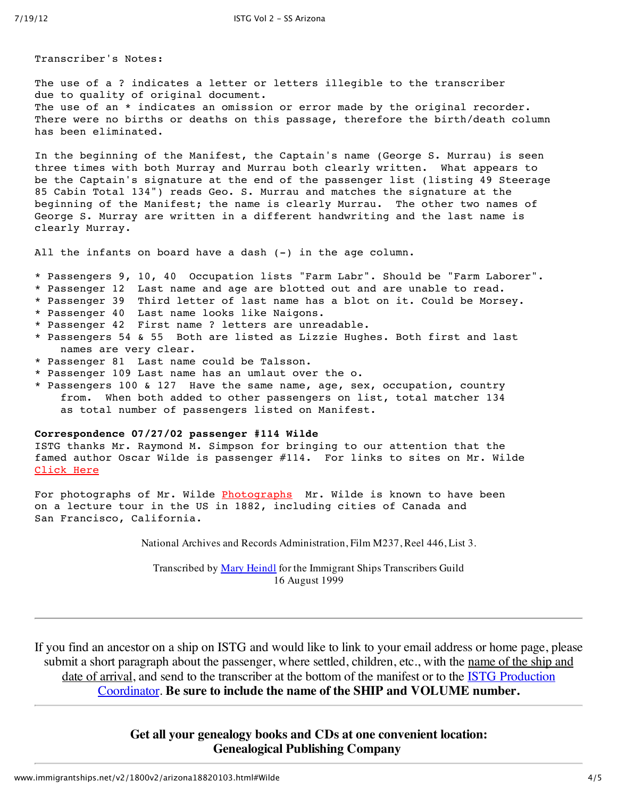Transcriber's Notes:

The use of a ? indicates a letter or letters illegible to the transcriber due to quality of original document. The use of an \* indicates an omission or error made by the original recorder. There were no births or deaths on this passage, therefore the birth/death column has been eliminated.

In the beginning of the Manifest, the Captain's name (George S. Murrau) is seen three times with both Murray and Murrau both clearly written. What appears to be the Captain's signature at the end of the passenger list (listing 49 Steerage 85 Cabin Total 134") reads Geo. S. Murrau and matches the signature at the beginning of the Manifest; the name is clearly Murrau. The other two names of George S. Murray are written in a different handwriting and the last name is clearly Murray.

All the infants on board have a dash (-) in the age column.

- \* Passengers 9, 10, 40 Occupation lists "Farm Labr". Should be "Farm Laborer".
- \* Passenger 12 Last name and age are blotted out and are unable to read.
- \* Passenger 39 Third letter of last name has a blot on it. Could be Morsey.
- \* Passenger 40 Last name looks like Naigons.
- \* Passenger 42 First name ? letters are unreadable.
- \* Passengers 54 & 55 Both are listed as Lizzie Hughes. Both first and last names are very clear.
- \* Passenger 81 Last name could be Talsson.
- \* Passenger 109 Last name has an umlaut over the o.
- \* Passengers 100 & 127 Have the same name, age, sex, occupation, country from. When both added to other passengers on list, total matcher 134 as total number of passengers listed on Manifest.

#### **Correspondence 07/27/02 passenger #114 Wilde**

ISTG thanks Mr. Raymond M. Simpson for bringing to our attention that the famed author Oscar Wilde is passenger #114. For links to sites on Mr. Wilde Click Here

For photographs of Mr. Wilde Photographs Mr. Wilde is known to have been on a lecture tour in the US in 1882, including cities of Canada and San Francisco, California.

National Archives and Records Administration, Film M237, Reel 446, List 3.

Transcribed by Mary Heindl for the Immigrant Ships Transcribers Guild 16 August 1999

If you find an ancestor on a ship on ISTG and would like to link to your email address or home page, please submit a short paragraph about the passenger, where settled, children, etc., with the name of the ship and date of arrival, and send to the transcriber at the bottom of the manifest or to the **ISTG** Production Coordinator. **Be sure to include the name of the SHIP and VOLUME number.**

> **Get all your genealogy books and CDs at one convenient location: Genealogical Publishing Company**